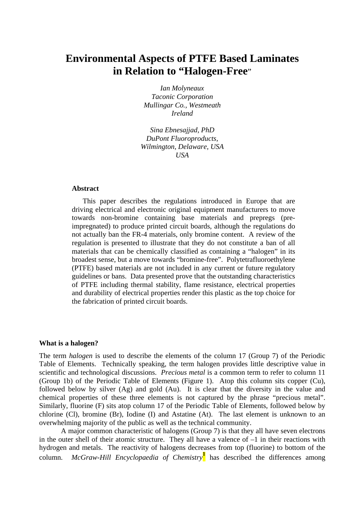# **Environmental Aspects of PTFE Based Laminates in Relation to "Halogen-Free**"

*Ian Molyneaux Taconic Corporation Mullingar Co., Westmeath Ireland* 

*Sina Ebnesajjad, PhD DuPont Fluoroproducts, Wilmington, Delaware, USA USA* 

#### **Abstract**

This paper describes the regulations introduced in Europe that are driving electrical and electronic original equipment manufacturers to move towards non-bromine containing base materials and prepregs (preimpregnated) to produce printed circuit boards, although the regulations do not actually ban the FR-4 materials, only bromine content. A review of the regulation is presented to illustrate that they do not constitute a ban of all materials that can be chemically classified as containing a "halogen" in its broadest sense, but a move towards "bromine-free". Polytetrafluoroethylene (PTFE) based materials are not included in any current or future regulatory guidelines or bans. Data presented prove that the outstanding characteristics of PTFE including thermal stability, flame resistance, electrical properties and durability of electrical properties render this plastic as the top choice for the fabrication of printed circuit boards.

#### **What is a halogen?**

The term *halogen* is used to describe the elements of the column 17 (Group 7) of the Periodic Table of Elements. Technically speaking, the term halogen provides little descriptive value in scientific and technological discussions. *Precious metal* is a common term to refer to column 11 (Group 1b) of the Periodic Table of Elements (Figure 1). Atop this column sits copper (Cu), followed below by silver (Ag) and gold (Au). It is clear that the diversity in the value and chemical properties of these three elements is not captured by the phrase "precious metal". Similarly, fluorine (F) sits atop column 17 of the Periodic Table of Elements, followed below by chlorine (Cl), bromine (Br), Iodine (I) and Astatine (At). The last element is unknown to an overwhelming majority of the public as well as the technical community.

 A major common characteristic of halogens (Group 7) is that they all have seven electrons in the outer shell of their atomic structure. They all have a valence of –1 in their reactions with hydrogen and metals. The reactivity of halogens decreases from top (fluorine) to bottom of the column. *McGraw-Hill Encyclopaedia of Chemistry***<sup>1</sup>** has described the differences among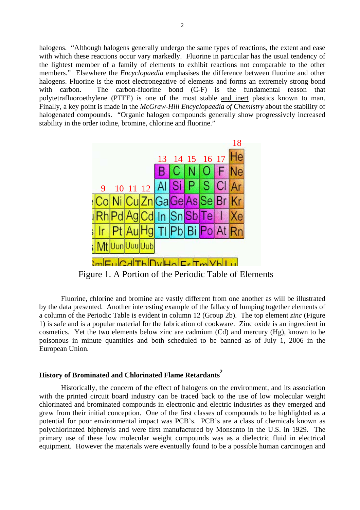halogens. "Although halogens generally undergo the same types of reactions, the extent and ease with which these reactions occur vary markedly. Fluorine in particular has the usual tendency of the lightest member of a family of elements to exhibit reactions not comparable to the other members." Elsewhere the *Encyclopaedia* emphasises the difference between fluorine and other halogens. Fluorine is the most electronegative of elements and forms an extremely strong bond with carbon. The carbon-fluorine bond (C-F) is the fundamental reason that polytetrafluoroethylene (PTFE) is one of the most stable and inert plastics known to man. Finally, a key point is made in the *McGraw-Hill Encyclopaedia of Chemistry* about the stability of halogenated compounds. "Organic halogen compounds generally show progressively increased stability in the order iodine, bromine, chlorine and fluorine."



Figure 1. A Portion of the Periodic Table of Elements

Fluorine, chlorine and bromine are vastly different from one another as will be illustrated by the data presented. Another interesting example of the fallacy of lumping together elements of a column of the Periodic Table is evident in column 12 (Group 2b). The top element *zinc* (Figure 1) is safe and is a popular material for the fabrication of cookware. Zinc oxide is an ingredient in cosmetics. Yet the two elements below zinc are cadmium (Cd) and mercury (Hg), known to be poisonous in minute quantities and both scheduled to be banned as of July 1, 2006 in the European Union.

## **History of Brominated and Chlorinated Flame Retardants<sup>2</sup>**

Historically, the concern of the effect of halogens on the environment, and its association with the printed circuit board industry can be traced back to the use of low molecular weight chlorinated and brominated compounds in electronic and electric industries as they emerged and grew from their initial conception. One of the first classes of compounds to be highlighted as a potential for poor environmental impact was PCB's. PCB's are a class of chemicals known as polychlorinated biphenyls and were first manufactured by Monsanto in the U.S. in 1929. The primary use of these low molecular weight compounds was as a dielectric fluid in electrical equipment. However the materials were eventually found to be a possible human carcinogen and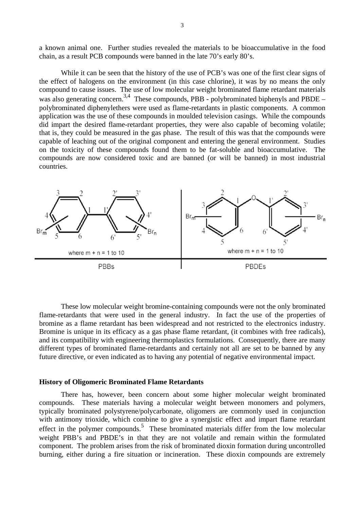a known animal one. Further studies revealed the materials to be bioaccumulative in the food chain, as a result PCB compounds were banned in the late 70's early 80's.

While it can be seen that the history of the use of PCB's was one of the first clear signs of the effect of halogens on the environment (in this case chlorine), it was by no means the only compound to cause issues. The use of low molecular weight brominated flame retardant materials was also generating concern.<sup>3,4</sup> These compounds, PBB - polybrominated biphenyls and PBDE – polybrominated diphenylethers were used as flame-retardants in plastic components. A common application was the use of these compounds in moulded television casings. While the compounds did impart the desired flame-retardant properties, they were also capable of becoming volatile; that is, they could be measured in the gas phase. The result of this was that the compounds were capable of leaching out of the original component and entering the general environment. Studies on the toxicity of these compounds found them to be fat-soluble and bioaccumulative. The compounds are now considered toxic and are banned (or will be banned) in most industrial countries.



These low molecular weight bromine-containing compounds were not the only brominated flame-retardants that were used in the general industry. In fact the use of the properties of bromine as a flame retardant has been widespread and not restricted to the electronics industry. Bromine is unique in its efficacy as a gas phase flame retardant, (it combines with free radicals), and its compatibility with engineering thermoplastics formulations. Consequently, there are many different types of brominated flame-retardants and certainly not all are set to be banned by any future directive, or even indicated as to having any potential of negative environmental impact.

## **History of Oligomeric Brominated Flame Retardants**

There has, however, been concern about some higher molecular weight brominated compounds. These materials having a molecular weight between monomers and polymers, typically brominated polystyrene/polycarbonate, oligomers are commonly used in conjunction with antimony trioxide, which combine to give a synergistic effect and impart flame retardant effect in the polymer compounds.<sup>5</sup> These brominated materials differ from the low molecular weight PBB's and PBDE's in that they are not volatile and remain within the formulated component. The problem arises from the risk of brominated dioxin formation during uncontrolled burning, either during a fire situation or incineration. These dioxin compounds are extremely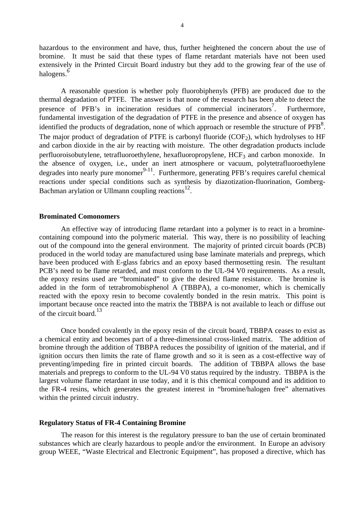hazardous to the environment and have, thus, further heightened the concern about the use of bromine. It must be said that these types of flame retardant materials have not been used extensively in the Printed Circuit Board industry but they add to the growing fear of the use of halogens.<sup>6</sup>

A reasonable question is whether poly fluorobiphenyls (PFB) are produced due to the thermal degradation of PTFE. The answer is that none of the research has been able to detect the presence of PFB's in incineration residues of commercial incinerators<sup>7</sup> . Furthermore, fundamental investigation of the degradation of PTFE in the presence and absence of oxygen has identified the products of degradation, none of which approach or resemble the structure of  $PFB<sup>8</sup>$ . The major product of degradation of PTFE is carbonyl fluoride  $(COF<sub>2</sub>)$ , which hydrolyses to HF and carbon dioxide in the air by reacting with moisture. The other degradation products include perfluoroisobutylene, tetrafluoroethylene, hexafluoropropylene,  $HCF<sub>3</sub>$  and carbon monoxide. In the absence of oxygen, i.e., under an inert atmosphere or vacuum, polytetrafluoroethylene degrades into nearly pure monomer 9-11 . Furthermore, generating PFB's requires careful chemical reactions under special conditions such as synthesis by diazotization-fluorination, Gomberg-Bachman arylation or Ullmann coupling reactions<sup>12</sup>.

## **Brominated Comonomers**

An effective way of introducing flame retardant into a polymer is to react in a brominecontaining compound into the polymeric material. This way, there is no possibility of leaching out of the compound into the general environment. The majority of printed circuit boards (PCB) produced in the world today are manufactured using base laminate materials and prepregs, which have been produced with E-glass fabrics and an epoxy based thermosetting resin. The resultant PCB's need to be flame retarded, and must conform to the UL-94 V0 requirements. As a result, the epoxy resins used are "brominated" to give the desired flame resistance. The bromine is added in the form of tetrabromobisphenol A (TBBPA), a co-monomer, which is chemically reacted with the epoxy resin to become covalently bonded in the resin matrix. This point is important because once reacted into the matrix the TBBPA is not available to leach or diffuse out of the circuit board.<sup>13</sup>

Once bonded covalently in the epoxy resin of the circuit board, TBBPA ceases to exist as a chemical entity and becomes part of a three-dimensional cross-linked matrix. The addition of bromine through the addition of TBBPA reduces the possibility of ignition of the material, and if ignition occurs then limits the rate of flame growth and so it is seen as a cost-effective way of preventing/impeding fire in printed circuit boards. The addition of TBBPA allows the base materials and prepregs to conform to the UL-94 V0 status required by the industry. TBBPA is the largest volume flame retardant in use today, and it is this chemical compound and its addition to the FR-4 resins, which generates the greatest interest in "bromine/halogen free" alternatives within the printed circuit industry.

#### **Regulatory Status of FR-4 Containing Bromine**

The reason for this interest is the regulatory pressure to ban the use of certain brominated substances which are clearly hazardous to people and/or the environment. In Europe an advisory group WEEE, "Waste Electrical and Electronic Equipment", has proposed a directive, which has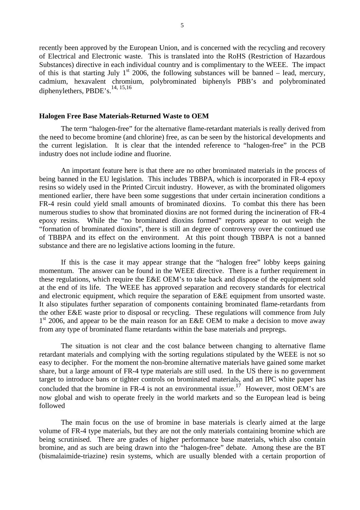recently been approved by the European Union, and is concerned with the recycling and recovery of Electrical and Electronic waste. This is translated into the RoHS (Restriction of Hazardous Substances) directive in each individual country and is complimentary to the WEEE. The impact of this is that starting July 1<sup>st</sup> 2006, the following substances will be banned – lead, mercury, cadmium, hexavalent chromium, polybrominated biphenyls PBB's and polybrominated diphenylethers,  $PBDE's$ ,  $^{14, 15, 16}$ 

#### **Halogen Free Base Materials-Returned Waste to OEM**

The term "halogen-free" for the alternative flame-retardant materials is really derived from the need to become bromine (and chlorine) free, as can be seen by the historical developments and the current legislation. It is clear that the intended reference to "halogen-free" in the PCB industry does not include iodine and fluorine.

An important feature here is that there are no other brominated materials in the process of being banned in the EU legislation. This includes TBBPA, which is incorporated in FR-4 epoxy resins so widely used in the Printed Circuit industry. However, as with the brominated oligomers mentioned earlier, there have been some suggestions that under certain incineration conditions a FR-4 resin could yield small amounts of brominated dioxins. To combat this there has been numerous studies to show that brominated dioxins are not formed during the incineration of FR-4 epoxy resins. While the "no brominated dioxins formed" reports appear to out weigh the "formation of brominated dioxins", there is still an degree of controversy over the continued use of TBBPA and its effect on the environment. At this point though TBBPA is not a banned substance and there are no legislative actions looming in the future.

If this is the case it may appear strange that the "halogen free" lobby keeps gaining momentum. The answer can be found in the WEEE directive. There is a further requirement in these regulations, which require the E&E OEM's to take back and dispose of the equipment sold at the end of its life. The WEEE has approved separation and recovery standards for electrical and electronic equipment, which require the separation of E&E equipment from unsorted waste. It also stipulates further separation of components containing brominated flame-retardants from the other E&E waste prior to disposal or recycling. These regulations will commence from July  $1<sup>st</sup>$  2006, and appear to be the main reason for an E&E OEM to make a decision to move away from any type of brominated flame retardants within the base materials and prepregs.

The situation is not clear and the cost balance between changing to alternative flame retardant materials and complying with the sorting regulations stipulated by the WEEE is not so easy to decipher. For the moment the non-bromine alternative materials have gained some market share, but a large amount of FR-4 type materials are still used. In the US there is no government target to introduce bans or tighter controls on brominated materials, and an IPC white paper has concluded that the bromine in FR-4 is not an environmental issue.<sup>17</sup> However, most OEM's are now global and wish to operate freely in the world markets and so the European lead is being followed

The main focus on the use of bromine in base materials is clearly aimed at the large volume of FR-4 type materials, but they are not the only materials containing bromine which are being scrutinised. There are grades of higher performance base materials, which also contain bromine, and as such are being drawn into the "halogen-free" debate. Among these are the BT (bismalaimide-triazine) resin systems, which are usually blended with a certain proportion of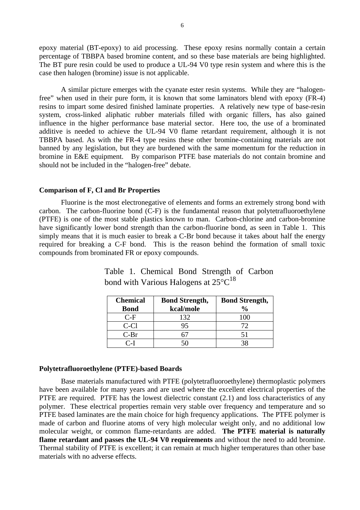epoxy material (BT-epoxy) to aid processing. These epoxy resins normally contain a certain percentage of TBBPA based bromine content, and so these base materials are being highlighted. The BT pure resin could be used to produce a UL-94 V0 type resin system and where this is the case then halogen (bromine) issue is not applicable.

A similar picture emerges with the cyanate ester resin systems. While they are "halogenfree" when used in their pure form, it is known that some laminators blend with epoxy (FR-4) resins to impart some desired finished laminate properties. A relatively new type of base-resin system, cross-linked aliphatic rubber materials filled with organic fillers, has also gained influence in the higher performance base material sector. Here too, the use of a brominated additive is needed to achieve the UL-94 V0 flame retardant requirement, although it is not TBBPA based. As with the FR-4 type resins these other bromine-containing materials are not banned by any legislation, but they are burdened with the same momentum for the reduction in bromine in E&E equipment. By comparison PTFE base materials do not contain bromine and should not be included in the "halogen-free" debate.

#### **Comparison of F, Cl and Br Properties**

Fluorine is the most electronegative of elements and forms an extremely strong bond with carbon. The carbon-fluorine bond (C-F) is the fundamental reason that polytetrafluoroethylene (PTFE) is one of the most stable plastics known to man. Carbon-chlorine and carbon-bromine have significantly lower bond strength than the carbon-fluorine bond, as seen in Table 1. This simply means that it is much easier to break a C-Br bond because it takes about half the energy required for breaking a C-F bond. This is the reason behind the formation of small toxic compounds from brominated FR or epoxy compounds.

| <b>Chemical</b> | <b>Bond Strength,</b> | <b>Bond Strength,</b> |
|-----------------|-----------------------|-----------------------|
| <b>Bond</b>     | kcal/mole             | $\frac{6}{9}$         |
| $C-F$           | 132                   |                       |
| C-Cl            | 95                    | 72                    |
| $C-Br$          |                       |                       |
| C-L             |                       |                       |

Table 1. Chemical Bond Strength of Carbon bond with Various Halogens at  $25^{\circ}C^{18}$ 

#### **Polytetrafluoroethylene (PTFE)-based Boards**

Base materials manufactured with PTFE (polytetrafluoroethylene) thermoplastic polymers have been available for many years and are used where the excellent electrical properties of the PTFE are required. PTFE has the lowest dielectric constant  $(2.1)$  and loss characteristics of any polymer. These electrical properties remain very stable over frequency and temperature and so PTFE based laminates are the main choice for high frequency applications. The PTFE polymer is made of carbon and fluorine atoms of very high molecular weight only, and no additional low molecular weight, or common flame-retardants are added. **The PTFE material is naturally flame retardant and passes the UL-94 V0 requirements** and without the need to add bromine. Thermal stability of PTFE is excellent; it can remain at much higher temperatures than other base materials with no adverse effects.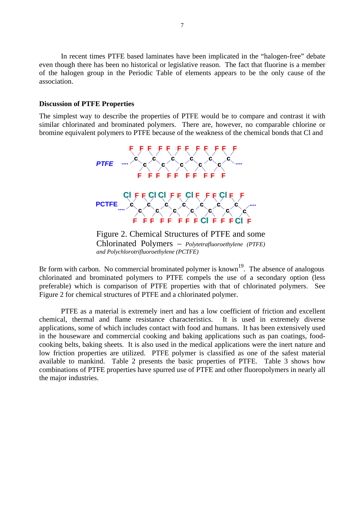In recent times PTFE based laminates have been implicated in the "halogen-free" debate even though there has been no historical or legislative reason. The fact that fluorine is a member of the halogen group in the Periodic Table of elements appears to be the only cause of the association.

#### **Discussion of PTFE Properties**

The simplest way to describe the properties of PTFE would be to compare and contrast it with similar chlorinated and brominated polymers. There are, however, no comparable chlorine or bromine equivalent polymers to PTFE because of the weakness of the chemical bonds that Cl and



Figure 2. Chemical Structures of PTFE and some Chlorinated Polymers – *Polytetrafluoroethylene (PTFE) and Polychlorotrifluoroethylene (PCTFE)*

Br form with carbon. No commercial brominated polymer is known<sup>19</sup>. The absence of analogous chlorinated and brominated polymers to PTFE compels the use of a secondary option (less preferable) which is comparison of PTFE properties with that of chlorinated polymers. See Figure 2 for chemical structures of PTFE and a chlorinated polymer.

PTFE as a material is extremely inert and has a low coefficient of friction and excellent chemical, thermal and flame resistance characteristics. It is used in extremely diverse applications, some of which includes contact with food and humans. It has been extensively used in the houseware and commercial cooking and baking applications such as pan coatings, foodcooking belts, baking sheets. It is also used in the medical applications were the inert nature and low friction properties are utilized. PTFE polymer is classified as one of the safest material available to mankind. Table 2 presents the basic properties of PTFE. Table 3 shows how combinations of PTFE properties have spurred use of PTFE and other fluoropolymers in nearly all the major industries.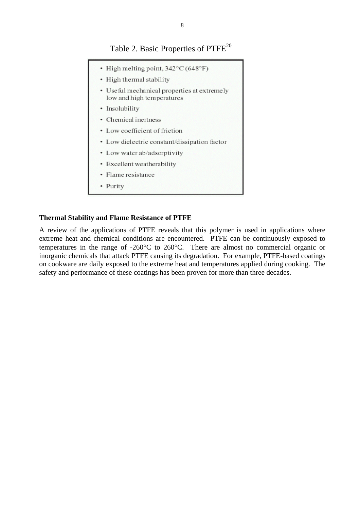## Table 2. Basic Properties of PTFE<sup>20</sup>

• High melting point,  $342^{\circ}$ C(648°F) • High thermal stability • Useful mechanical properties at extremely low and high temperatures · Insolubility • Chemical inertness • Low coefficient of friction • Low dielectric constant/dissipation factor • Low water ab/adsorptivity • Excellent weatherability · Flame resistance • Purity

## **Thermal Stability and Flame Resistance of PTFE**

A review of the applications of PTFE reveals that this polymer is used in applications where extreme heat and chemical conditions are encountered. PTFE can be continuously exposed to temperatures in the range of -260°C to 260°C. There are almost no commercial organic or inorganic chemicals that attack PTFE causing its degradation. For example, PTFE-based coatings on cookware are daily exposed to the extreme heat and temperatures applied during cooking. The safety and performance of these coatings has been proven for more than three decades.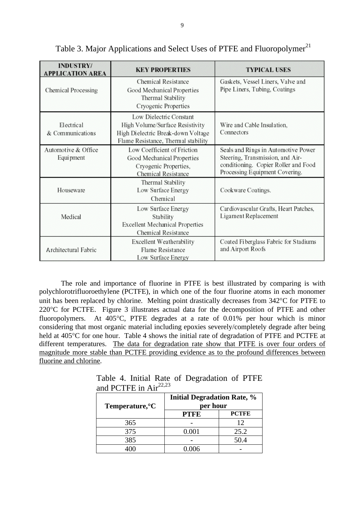| <b>INDUSTRY/</b><br><b>APPLICATION AREA</b> | <b>KEY PROPERTIES</b>                                                                                                                   | <b>TYPICAL USES</b>                                                                                                                               |
|---------------------------------------------|-----------------------------------------------------------------------------------------------------------------------------------------|---------------------------------------------------------------------------------------------------------------------------------------------------|
| Chemical Processing                         | <b>Chemical Resistance</b><br>Good Mechanical Properties<br>Thermal Stability<br>Cryogenic Properties                                   | Gaskets, Vessel Liners, Valve and<br>Pipe Liners, Tubing, Coatings                                                                                |
| Electrical<br>& Communications              | Low Dielectric Constant<br>High Volume/Surface Resistivity<br>High Dielectric Break-down Voltage<br>Flame Resistance, Thermal stability | Wire and Cable Insulation,<br>Connectors                                                                                                          |
| Automotive & Office<br>Equi pment           | Low Coefficient of Friction<br>Good Mechanical Properties<br>Cryogenic Properties,<br><b>Chemical Resistance</b>                        | Seals and Rings in Automotive Power<br>Steering, Transmission, and Air-<br>conditioning. Copier Roller and Food<br>Processing Equipment Covering. |
| Houseware                                   | Thermal Stability<br>Low Surface Energy<br>Chemical                                                                                     | Cookware Coatings.                                                                                                                                |
| Medical                                     | Low Surface Energy<br>Stability<br><b>Excellent Mechanical Properties</b><br><b>Chemical Resistance</b>                                 | Cardiovascular Grafts, Heart Patches,<br>Ligament Replacement                                                                                     |
| Architectural Fabric                        | Excellent Weatherability<br><b>Flame Resistance</b><br>Low Surface Energy                                                               | Coated Fiberglass Fabric for Stadiums<br>and Airport Roofs                                                                                        |

# Table 3. Major Applications and Select Uses of PTFE and Fluoropolymer<sup>21</sup>

The role and importance of fluorine in PTFE is best illustrated by comparing is with polychlorotrifluoroethylene (PCTFE), in which one of the four fluorine atoms in each monomer unit has been replaced by chlorine. Melting point drastically decreases from 342°C for PTFE to 220°C for PCTFE. Figure 3 illustrates actual data for the decomposition of PTFE and other fluoropolymers. At 405°C, PTFE degrades at a rate of 0.01% per hour which is minor considering that most organic material including epoxies severely/completely degrade after being held at 405<sup>o</sup>C for one hour. Table 4 shows the initial rate of degradation of PTFE and PCTFE at different temperatures. The data for degradation rate show that PTFE is over four orders of magnitude more stable than PCTFE providing evidence as to the profound differences between fluorine and chlorine.

Table 4. Initial Rate of Degradation of PTFE and PCTFE in  $Air^{22,23}$ 

| Temperature, °C | <b>Initial Degradation Rate, %</b><br>per hour |              |  |
|-----------------|------------------------------------------------|--------------|--|
|                 | <b>PTFE</b>                                    | <b>PCTFE</b> |  |
| 365             |                                                | 12           |  |
| 375             | 0.001                                          | 25.2         |  |
| 385             |                                                | 50.4         |  |
|                 | 0.006                                          |              |  |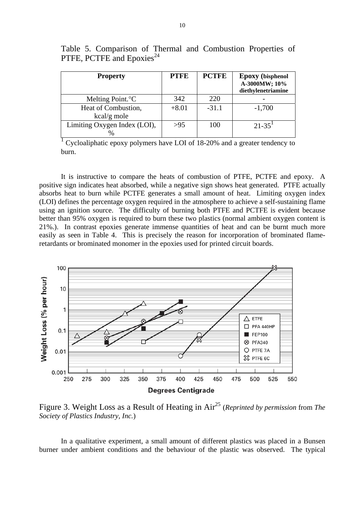| <b>Property</b>                    | <b>PTFE</b> | <b>PCTFE</b> | <b>Epoxy</b> (bisphenol<br>A-3000MW; 10%<br>diethylenetriamine |
|------------------------------------|-------------|--------------|----------------------------------------------------------------|
| Melting Point. <sup>o</sup> C      | 342         | 220          |                                                                |
| Heat of Combustion,<br>kcal/g mole | $+8.01$     | $-31.1$      | $-1,700$                                                       |
| Limiting Oxygen Index (LOI),       | >95         | 100          | $21 - 35$                                                      |

Table 5. Comparison of Thermal and Combustion Properties of PTFE, PCTFE and Epoxies<sup>24</sup>

<sup>1</sup> Cycloaliphatic epoxy polymers have LOI of 18-20% and a greater tendency to burn.

It is instructive to compare the heats of combustion of PTFE, PCTFE and epoxy. A positive sign indicates heat absorbed, while a negative sign shows heat generated. PTFE actually absorbs heat to burn while PCTFE generates a small amount of heat. Limiting oxygen index (LOI) defines the percentage oxygen required in the atmosphere to achieve a self-sustaining flame using an ignition source. The difficulty of burning both PTFE and PCTFE is evident because better than 95% oxygen is required to burn these two plastics (normal ambient oxygen content is 21%.). In contrast epoxies generate immense quantities of heat and can be burnt much more easily as seen in Table 4. This is precisely the reason for incorporation of brominated flameretardants or brominated monomer in the epoxies used for printed circuit boards.



Figure 3. Weight Loss as a Result of Heating in Air25 (*Reprinted by permission* from *The Society of Plastics Industry, Inc.*)

In a qualitative experiment, a small amount of different plastics was placed in a Bunsen burner under ambient conditions and the behaviour of the plastic was observed. The typical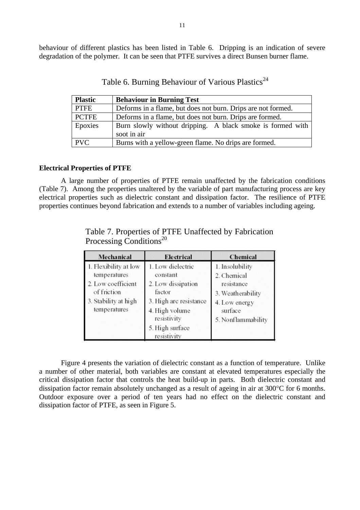behaviour of different plastics has been listed in Table 6. Dripping is an indication of severe degradation of the polymer. It can be seen that PTFE survives a direct Bunsen burner flame.

| <b>Plastic</b> | <b>Behaviour in Burning Test</b>                                          |  |  |
|----------------|---------------------------------------------------------------------------|--|--|
| <b>PTFE</b>    | Deforms in a flame, but does not burn. Drips are not formed.              |  |  |
| <b>PCTFE</b>   | Deforms in a flame, but does not burn. Drips are formed.                  |  |  |
| Epoxies        | Burn slowly without dripping. A black smoke is formed with<br>soot in air |  |  |
| <b>PVC</b>     | Burns with a yellow-green flame. No drips are formed.                     |  |  |

Table 6. Burning Behaviour of Various Plastics<sup>24</sup>

#### **Electrical Properties of PTFE**

A large number of properties of PTFE remain unaffected by the fabrication conditions (Table 7). Among the properties unaltered by the variable of part manufacturing process are key electrical properties such as dielectric constant and dissipation factor. The resilience of PTFE properties continues beyond fabrication and extends to a number of variables including ageing.

| Mechanical                                                                                                         | Electrical                                                                                                               | Chemical                                                                                                            |
|--------------------------------------------------------------------------------------------------------------------|--------------------------------------------------------------------------------------------------------------------------|---------------------------------------------------------------------------------------------------------------------|
| 1. Flexibility at low<br>temperatures<br>2. Low coefficient<br>of friction<br>3. Stability at high<br>temperatures | 1. Low dielectric<br>constant<br>2. Low dissipation<br>factor<br>3. High arc resistance<br>4. High volume<br>resistivity | 1. Insolubility<br>2. Chemical<br>resistance<br>3. Weatherability<br>4. Low energy<br>surface<br>5. Nonflammability |
|                                                                                                                    | 5. High surface<br>resistivity                                                                                           |                                                                                                                     |

Table 7. Properties of PTFE Unaffected by Fabrication Processing Conditions<sup>20</sup>

Figure 4 presents the variation of dielectric constant as a function of temperature. Unlike a number of other material, both variables are constant at elevated temperatures especially the critical dissipation factor that controls the heat build-up in parts. Both dielectric constant and dissipation factor remain absolutely unchanged as a result of ageing in air at 300°C for 6 months. Outdoor exposure over a period of ten years had no effect on the dielectric constant and dissipation factor of PTFE, as seen in Figure 5.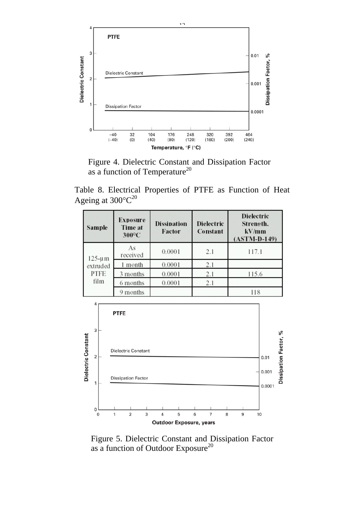

Figure 4. Dielectric Constant and Dissipation Factor as a function of Temperature $^{20}$ 

Table 8. Electrical Properties of PTFE as Function of Heat Ageing at  $300^{\circ}C^{20}$ 

| Sample                                           | Exposure<br>Time at<br>300°C | <b>Dissipation</b><br>Factor | <b>Dielectric</b><br>Constant | <b>Dielectric</b><br>Strength.<br>kV/mm<br>$(ASTM-D-149)$ |
|--------------------------------------------------|------------------------------|------------------------------|-------------------------------|-----------------------------------------------------------|
| $125 - \mu m$<br>extruded<br><b>PTFE</b><br>film | As<br>received               | 0.0001                       | 2.1                           | 117.1                                                     |
|                                                  | 1 month                      | 0.0001                       | 2.1                           |                                                           |
|                                                  | 3 months                     | 0.0001                       | 2.1                           | 115.6                                                     |
|                                                  | 6 months                     | 0.0001                       | 2.1                           |                                                           |
|                                                  | 9 months                     |                              |                               | 118                                                       |



Figure 5. Dielectric Constant and Dissipation Factor as a function of Outdoor Exposure<sup>20</sup>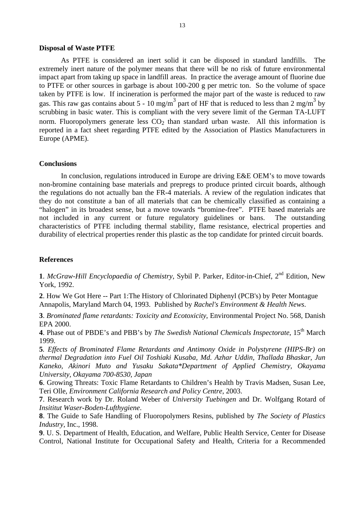#### **Disposal of Waste PTFE**

As PTFE is considered an inert solid it can be disposed in standard landfills. The extremely inert nature of the polymer means that there will be no risk of future environmental impact apart from taking up space in landfill areas. In practice the average amount of fluorine due to PTFE or other sources in garbage is about 100-200 g per metric ton. So the volume of space taken by PTFE is low. If incineration is performed the major part of the waste is reduced to raw gas. This raw gas contains about 5 - 10 mg/m<sup>3</sup> part of HF that is reduced to less than 2 mg/m<sup>3</sup> by scrubbing in basic water. This is compliant with the very severe limit of the German TA-LUFT norm. Fluoropolymers generate less  $CO<sub>2</sub>$  than standard urban waste. All this information is reported in a fact sheet regarding PTFE edited by the Association of Plastics Manufacturers in Europe (APME).

#### **Conclusions**

In conclusion, regulations introduced in Europe are driving E&E OEM's to move towards non-bromine containing base materials and prepregs to produce printed circuit boards, although the regulations do not actually ban the FR-4 materials. A review of the regulation indicates that they do not constitute a ban of all materials that can be chemically classified as containing a "halogen" in its broadest sense, but a move towards "bromine-free". PTFE based materials are not included in any current or future regulatory guidelines or bans. The outstanding characteristics of PTFE including thermal stability, flame resistance, electrical properties and durability of electrical properties render this plastic as the top candidate for printed circuit boards.

## **References**

**1**. *McGraw-Hill Encyclopaedia of Chemistry*, Sybil P. Parker, Editor-in-Chief, 2nd Edition, New York, 1992.

**2**. How We Got Here -- Part 1:The History of Chlorinated Diphenyl (PCB's) by Peter Montague Annapolis, Maryland March 04, 1993. Published by *Rachel's Environment & Health News*.

**3**. *Brominated flame retardants: Toxicity and Ecotoxicity*, Environmental Project No. 568, Danish EPA 2000.

**4**. Phase out of PBDE's and PBB's by *The Swedish National Chemicals Inspectorate*, 15<sup>th</sup> March 1999.

**5***. Effects of Brominated Flame Retardants and Antimony Oxide in Polystyrene (HIPS-Br) on thermal Degradation into Fuel Oil Toshiaki Kusaba, Md. Azhar Uddin, Thallada Bhaskar, Jun Kaneko, Akinori Muto and Yusaku Sakata\*Department of Applied Chemistry, Okayama University, Okayama 700-8530, Japan*

**6**. Growing Threats: Toxic Flame Retardants to Children's Health by Travis Madsen, Susan Lee, Teri Olle, *Environment California Research and Policy Centre*, 2003.

**7**. Research work by Dr. Roland Weber of *University Tuebingen* and Dr. Wolfgang Rotard of *Insititut Waser-Boden-Lufthygiene*.

**8**. The Guide to Safe Handling of Fluoropolymers Resins, published by *The Society of Plastics Industry*, Inc., 1998.

**9**. U. S. Department of Health, Education, and Welfare, Public Health Service, Center for Disease Control, National Institute for Occupational Safety and Health, Criteria for a Recommended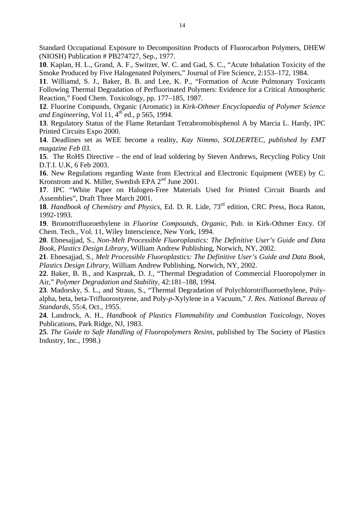Standard Occupational Exposure to Decomposition Products of Fluorocarbon Polymers, DHEW (NIOSH) Publication # PB274727, Sep., 1977.

**10**. Kaplan, H. L., Grand, A. F., Switzer, W. C. and Gad, S. C., "Acute Inhalation Toxicity of the Smoke Produced by Five Halogenated Polymers," Journal of Fire Science, 2:153–172, 1984.

**11**. Williamd, S. J., Baker, B. B. and Lee, K. P., "Formation of Acute Pulmonary Toxicants Following Thermal Degradation of Perfluorinated Polymers: Evidence for a Critical Atmospheric Reaction," Food Chem. Toxicology, pp. 177–185, 1987.

**12**. Fluorine Compunds, Organic (Aromatic) in *Kirk-Othmer Encyclopaedia of Polymer Science and Engineering*, Vol 11,  $4<sup>th</sup>$  ed., p 565, 1994.

**13**. Regulatory Status of the Flame Retardant Tetrabromobisphenol A by Marcia L. Hardy, IPC Printed Circuits Expo 2000.

**14**. Deadlines set as WEE become a reality, *Kay Nimmo, SOLDERTEC, published by EMT magazine Feb 03.* 

**15**. The RoHS Directive – the end of lead soldering by Steven Andrews, Recycling Policy Unit D.T.I. U.K, 6 Feb 2003.

**16**. New Regulations regarding Waste from Electrical and Electronic Equipment (WEE) by C. Kronstrom and K. Miller, Swedish EPA 2<sup>nd</sup> June 2001.

**17**. IPC "White Paper on Halogen-Free Materials Used for Printed Circuit Boards and Assemblies", Draft Three March 2001.

18. *Handbook of Chemistry and Physics*, Ed. D. R. Lide, 73<sup>rd</sup> edition, CRC Press, Boca Raton, 1992-1993.

**19**. Bromotrifluoroethylene in *Fluorine Compounds, Organic*, Pub. in Kirk-Othmer Ency. Of Chem. Tech., Vol. 11, Wiley Interscience, New York, 1994.

**20**. Ebnesajjad, S., *Non-Melt Processible Fluoroplastics: The Definitive User's Guide and Data Book, Plastics Design Library,* William Andrew Publishing, Norwich, NY, 2002.

**21**. Ebnesajjad, S., *Melt Processible Fluoroplastics: The Definitive User's Guide and Data Book, Plastics Design Library,* William Andrew Publishing, Norwich, NY, 2002.

**22**. Baker, B. B., and Kasprzak, D. J., "Thermal Degradation of Commercial Fluoropolymer in Air," *Polymer Degradation and Stability,* 42:181–188, 1994.

**23**. Madorsky, S. L., and Straus, S., "Thermal Degradation of Polychlorotrifluoroethylene, Polyalpha, beta, beta-Trifluorostyrene, and Poly-*p*-Xylylene in a Vacuum," *J. Res. National Bureau of Standards*, 55:4, Oct., 1955.

**24**. Landrock, A. H., *Handbook of Plastics Flammability and Combustion Toxicology*, Noyes Publications, Park Ridge, NJ, 1983.

**25**. *The Guide to Safe Handling of Fluoropolymers Resins*, published by The Society of Plastics Industry, Inc., 1998.)